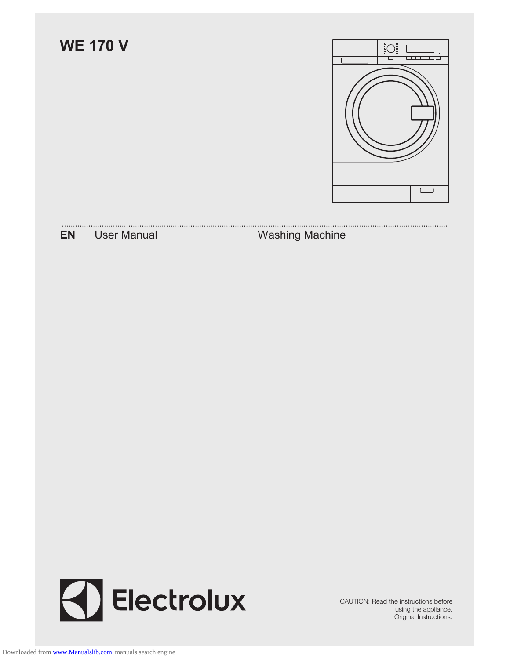



CAUTION: Read the instructions before using the appliance. Original Instructions.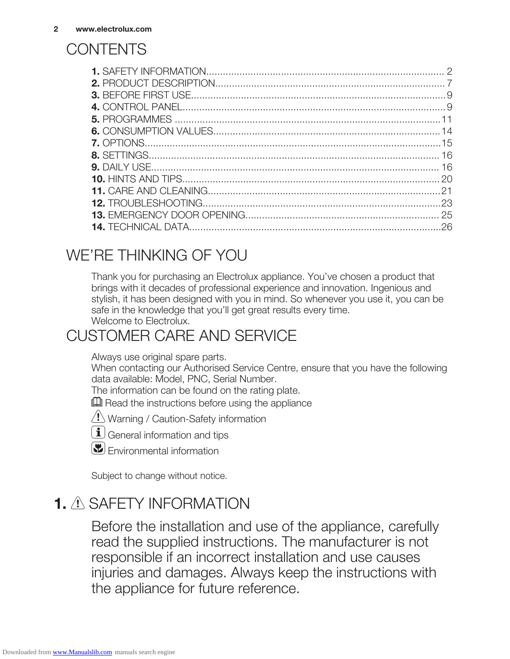## **CONTENTS**

## WE'RE THINKING OF YOU

Thank you for purchasing an Electrolux appliance. You've chosen a product that brings with it decades of professional experience and innovation. Ingenious and stylish, it has been designed with you in mind. So whenever you use it, you can be safe in the knowledge that you'll get great results every time. Welcome to Electrolux.

## CUSTOMER CARE AND SERVICE

Always use original spare parts.

When contacting our Authorised Service Centre, ensure that you have the following data available: Model, PNC, Serial Number.

The information can be found on the rating plate.

 $\Box$  Read the instructions before using the appliance

 $\langle \underline{P} \rangle$  Warning / Caution-Safety information



 $[\mathbf{E}]$  Fnvironmental information

Subject to change without notice.

## 1. A SAFETY INFORMATION

Before the installation and use of the appliance, carefully read the supplied instructions. The manufacturer is not responsible if an incorrect installation and use causes injuries and damages. Always keep the instructions with the appliance for future reference.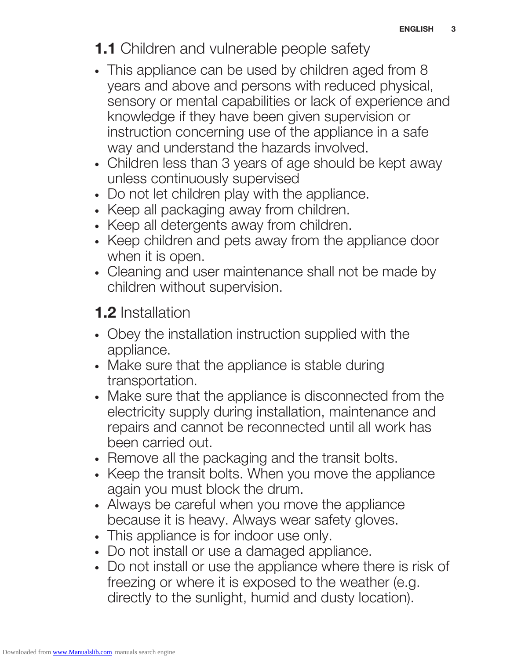## **1.1** Children and vulnerable people safety

- This appliance can be used by children aged from 8 years and above and persons with reduced physical, sensory or mental capabilities or lack of experience and knowledge if they have been given supervision or instruction concerning use of the appliance in a safe way and understand the hazards involved.
- Children less than 3 years of age should be kept away unless continuously supervised
- Do not let children play with the appliance.
- Keep all packaging away from children.
- Keep all detergents away from children.
- Keep children and pets away from the appliance door when it is open.
- Cleaning and user maintenance shall not be made by children without supervision.

## 1.2 Installation

- Obey the installation instruction supplied with the appliance.
- Make sure that the appliance is stable during transportation.
- Make sure that the appliance is disconnected from the electricity supply during installation, maintenance and repairs and cannot be reconnected until all work has been carried out.
- Remove all the packaging and the transit bolts.
- Keep the transit bolts. When you move the appliance again you must block the drum.
- Always be careful when you move the appliance because it is heavy. Always wear safety gloves.
- This appliance is for indoor use only.
- Do not install or use a damaged appliance.
- Do not install or use the appliance where there is risk of freezing or where it is exposed to the weather (e.g. directly to the sunlight, humid and dusty location).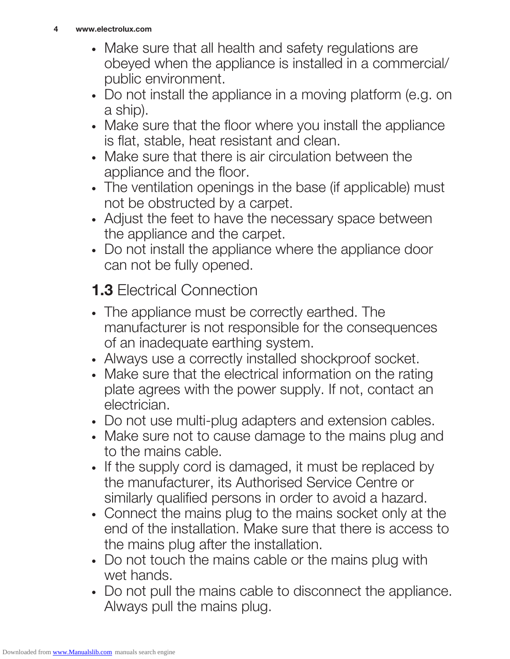- Make sure that all health and safety regulations are obeyed when the appliance is installed in a commercial/ public environment.
- Do not install the appliance in a moving platform (e.g. on a ship).
- Make sure that the floor where you install the appliance is flat, stable, heat resistant and clean.
- Make sure that there is air circulation between the appliance and the floor.
- The ventilation openings in the base (if applicable) must not be obstructed by a carpet.
- Adjust the feet to have the necessary space between the appliance and the carpet.
- Do not install the appliance where the appliance door can not be fully opened.

## **1.3 Electrical Connection**

- The appliance must be correctly earthed. The manufacturer is not responsible for the consequences of an inadequate earthing system.
- Always use a correctly installed shockproof socket.
- Make sure that the electrical information on the rating plate agrees with the power supply. If not, contact an electrician.
- Do not use multi-plug adapters and extension cables.
- Make sure not to cause damage to the mains plug and to the mains cable.
- If the supply cord is damaged, it must be replaced by the manufacturer, its Authorised Service Centre or similarly qualified persons in order to avoid a hazard.
- Connect the mains plug to the mains socket only at the end of the installation. Make sure that there is access to the mains plug after the installation.
- Do not touch the mains cable or the mains plug with wet hands.
- Do not pull the mains cable to disconnect the appliance. Always pull the mains plug.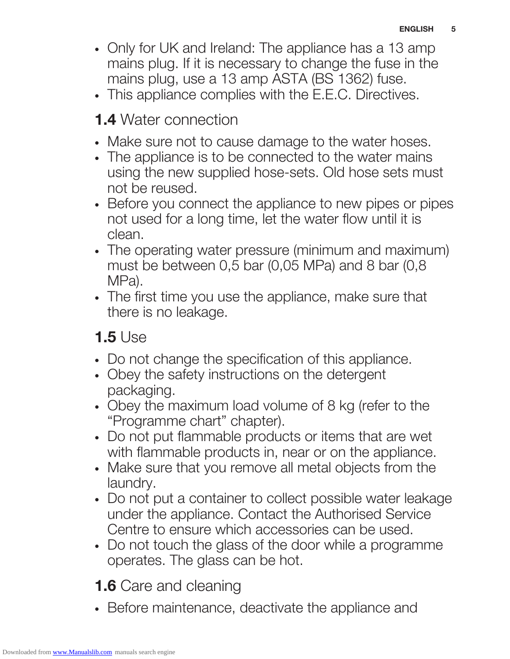- Only for UK and Ireland: The appliance has a 13 amp mains plug. If it is necessary to change the fuse in the mains plug, use a 13 amp ASTA (BS 1362) fuse.
- This appliance complies with the E.E.C. Directives.

## 1.4 Water connection

- Make sure not to cause damage to the water hoses.
- The appliance is to be connected to the water mains using the new supplied hose-sets. Old hose sets must not be reused.
- Before you connect the appliance to new pipes or pipes not used for a long time, let the water flow until it is clean.
- The operating water pressure (minimum and maximum) must be between 0,5 bar (0,05 MPa) and 8 bar (0,8 MPa).
- The first time you use the appliance, make sure that there is no leakage.

## 1.5 Use

- Do not change the specification of this appliance.
- Obey the safety instructions on the detergent packaging.
- Obey the maximum load volume of 8 kg (refer to the "Programme chart" chapter).
- Do not put flammable products or items that are wet with flammable products in, near or on the appliance.
- Make sure that you remove all metal objects from the laundry.
- Do not put a container to collect possible water leakage under the appliance. Contact the Authorised Service Centre to ensure which accessories can be used.
- Do not touch the glass of the door while a programme operates. The glass can be hot.

**1.6** Care and cleaning

• Before maintenance, deactivate the appliance and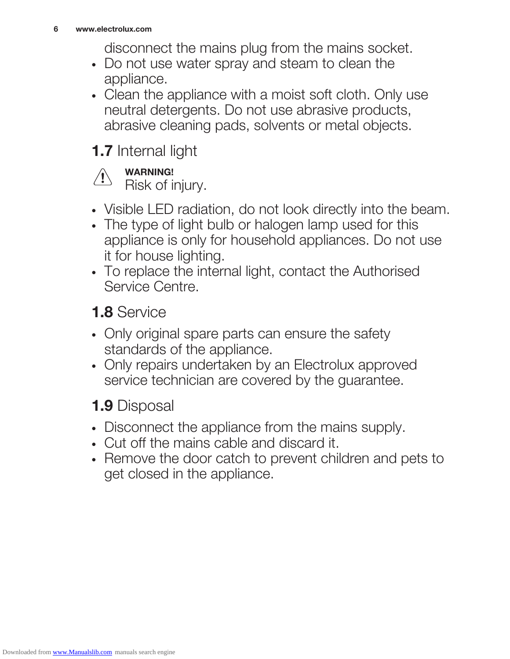disconnect the mains plug from the mains socket.

- Do not use water spray and steam to clean the appliance.
- Clean the appliance with a moist soft cloth. Only use neutral detergents. Do not use abrasive products, abrasive cleaning pads, solvents or metal objects.

## 1.7 Internal light

#### WARNING! **\**

Risk of injury.

- Visible LED radiation, do not look directly into the beam.
- The type of light bulb or halogen lamp used for this appliance is only for household appliances. Do not use it for house lighting.
- To replace the internal light, contact the Authorised Service Centre.

1.8 Service

- Only original spare parts can ensure the safety standards of the appliance.
- Only repairs undertaken by an Electrolux approved service technician are covered by the guarantee.

## 1.9 Disposal

- Disconnect the appliance from the mains supply.
- Cut off the mains cable and discard it.
- Remove the door catch to prevent children and pets to get closed in the appliance.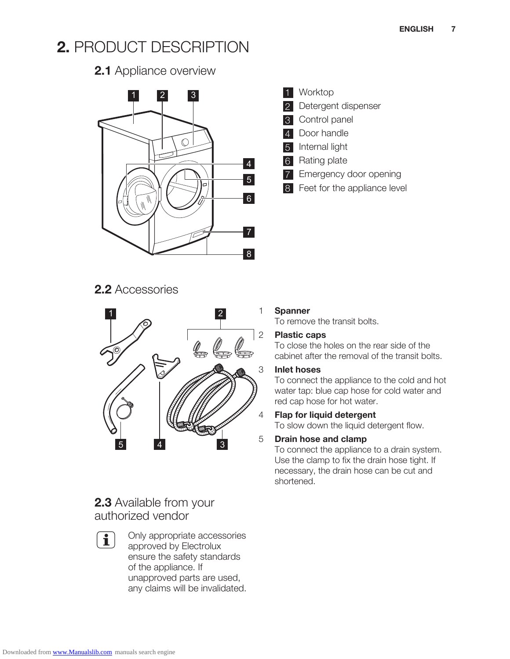## 2. PRODUCT DESCRIPTION

#### 2.1 Appliance overview



#### 1 Worktop

- 2 Detergent dispenser
- Control panel
- 4 Door handle
- Internal light
- 6 Rating plate
- **7** Emergency door opening
- 8 Feet for the appliance level

#### 2.2 Accessories



#### 2.3 Available from your authorized vendor

 $\overline{\mathbf{1}}$ 

Only appropriate accessories approved by Electrolux ensure the safety standards of the appliance. If unapproved parts are used, any claims will be invalidated.

#### 1 Spanner

To remove the transit bolts.

#### 2 Plastic caps

To close the holes on the rear side of the cabinet after the removal of the transit bolts.

#### 3 Inlet hoses

To connect the appliance to the cold and hot water tap: blue cap hose for cold water and red cap hose for hot water.

#### 4 Flap for liquid detergent

To slow down the liquid detergent flow.

#### 5 Drain hose and clamp

To connect the appliance to a drain system. Use the clamp to fix the drain hose tight. If necessary, the drain hose can be cut and shortened.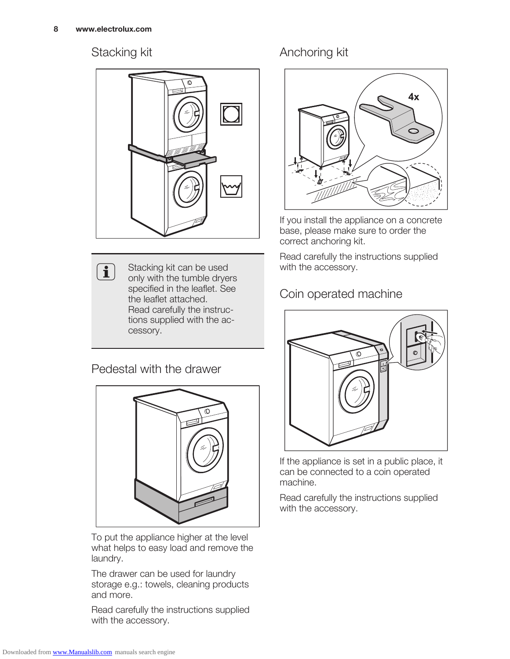$\left( \mathbf{i} \right)$ 

#### Stacking kit



Stacking kit can be used only with the tumble dryers specified in the leaflet. See the leaflet attached. Read carefully the instructions supplied with the accessory.

#### Pedestal with the drawer



To put the appliance higher at the level what helps to easy load and remove the laundry.

The drawer can be used for laundry storage e.g.: towels, cleaning products and more.

Read carefully the instructions supplied with the accessory.

#### Anchoring kit



If you install the appliance on a concrete base, please make sure to order the correct anchoring kit.

Read carefully the instructions supplied with the accessory.

#### Coin operated machine



If the appliance is set in a public place, it can be connected to a coin operated machine.

Read carefully the instructions supplied with the accessory.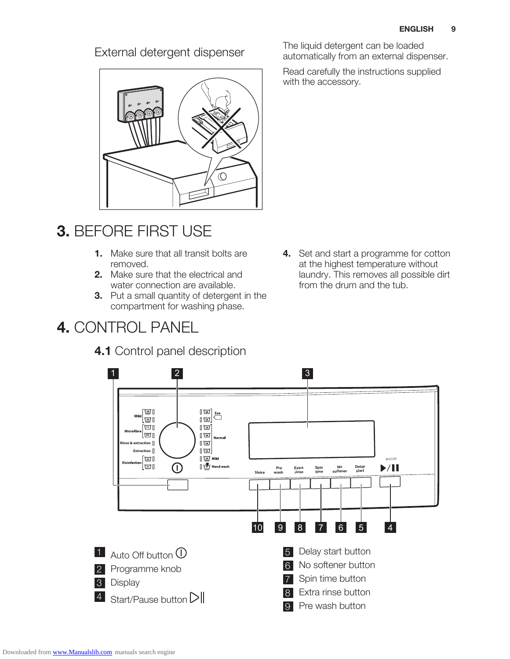

## 3. BEFORE FIRST USE

- 1. Make sure that all transit bolts are removed.
- 2. Make sure that the electrical and water connection are available.
- **3.** Put a small quantity of detergent in the compartment for washing phase.

## 4. CONTROL PANEL

#### 4.1 Control panel description

External detergent dispenser<br>automatically from an external dispenser<br>automatically from an external dispenser automatically from an external dispenser.

> Read carefully the instructions supplied with the accessory.

4. Set and start a programme for cotton at the highest temperature without laundry. This removes all possible dirt from the drum and the tub.

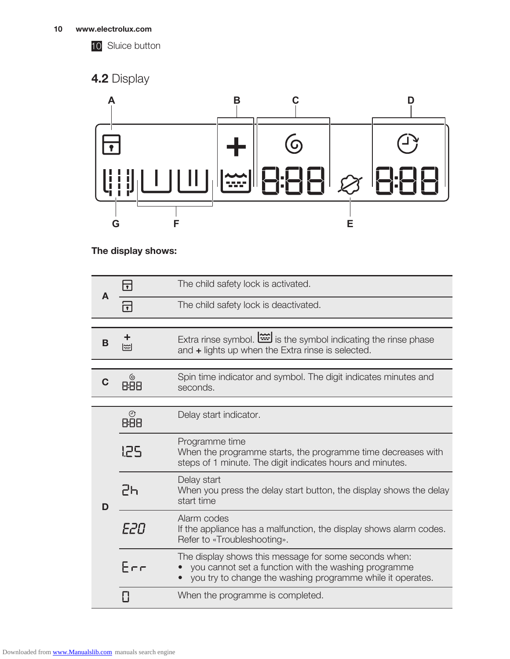

10 Sluice button

### 4.2 Display



#### The display shows:

| A | $\blacksquare$ | The child safety lock is activated.                                                                                                                                         |
|---|----------------|-----------------------------------------------------------------------------------------------------------------------------------------------------------------------------|
|   |                | The child safety lock is deactivated.                                                                                                                                       |
|   |                |                                                                                                                                                                             |
| B | ।‱             | Extra rinse symbol. is the symbol indicating the rinse phase<br>and + lights up when the Extra rinse is selected.                                                           |
|   |                |                                                                                                                                                                             |
|   | <u>ල</u>       | Spin time indicator and symbol. The digit indicates minutes and<br>seconds.                                                                                                 |
|   |                |                                                                                                                                                                             |
| D | $\odot$<br>888 | Delay start indicator.                                                                                                                                                      |
|   | 125            | Programme time<br>When the programme starts, the programme time decreases with<br>steps of 1 minute. The digit indicates hours and minutes.                                 |
|   | 2հ             | Delay start<br>When you press the delay start button, the display shows the delay<br>start time                                                                             |
|   | F2N            | Alarm codes<br>If the appliance has a malfunction, the display shows alarm codes.<br>Refer to «Troubleshooting».                                                            |
|   | Frr            | The display shows this message for some seconds when:<br>you cannot set a function with the washing programme<br>you try to change the washing programme while it operates. |
|   |                | When the programme is completed.                                                                                                                                            |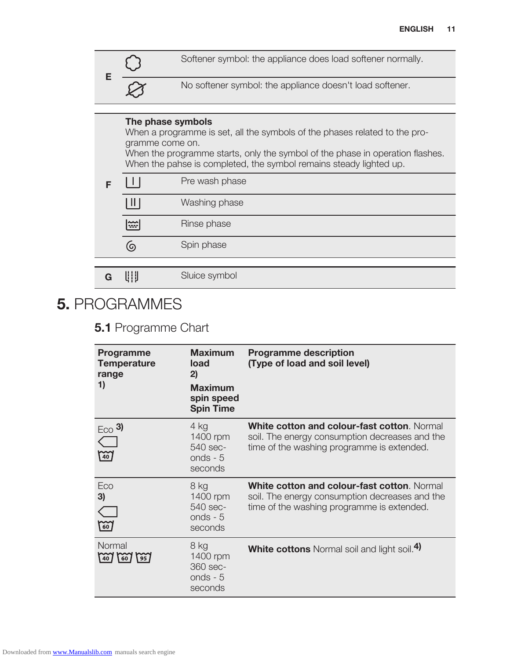

#### The phase symbols

When a programme is set, all the symbols of the phases related to the programme come on.

When the programme starts, only the symbol of the phase in operation flashes. When the pahse is completed, the symbol remains steady lighted up.

|   |               | Pre wash phase |  |  |  |  |
|---|---------------|----------------|--|--|--|--|
|   | $\  \cdot \ $ | Washing phase  |  |  |  |  |
|   | $\Xi$         | Rinse phase    |  |  |  |  |
|   | (ඉ            | Spin phase     |  |  |  |  |
|   |               |                |  |  |  |  |
| G | U∥            | Sluice symbol  |  |  |  |  |

## 5. PROGRAMMES

#### 5.1 Programme Chart

| <b>Programme</b><br><b>Temperature</b><br>range<br>1) | <b>Maximum</b><br>load<br>2)<br><b>Maximum</b><br>spin speed<br><b>Spin Time</b> | <b>Programme description</b><br>(Type of load and soil level)                                                                               |
|-------------------------------------------------------|----------------------------------------------------------------------------------|---------------------------------------------------------------------------------------------------------------------------------------------|
| $E_{CO}$ 3)<br>$\approx$                              | 4 kg<br>1400 rpm<br>540 sec-<br>onds - $5$<br>seconds                            | White cotton and colour-fast cotton. Normal<br>soil. The energy consumption decreases and the<br>time of the washing programme is extended. |
| Eco<br>3)<br>$\approx$                                | 8 kg<br>1400 rpm<br>540 sec-<br>onds - $5$<br>seconds                            | White cotton and colour-fast cotton. Normal<br>soil. The energy consumption decreases and the<br>time of the washing programme is extended. |
| Normal<br>$(40)$ (60)<br>$\sqrt{95}$                  | 8 kg<br>1400 rpm<br>360 sec-<br>onds - $5$<br>seconds                            | <b>White cottons</b> Normal soil and light soil. <sup>4)</sup>                                                                              |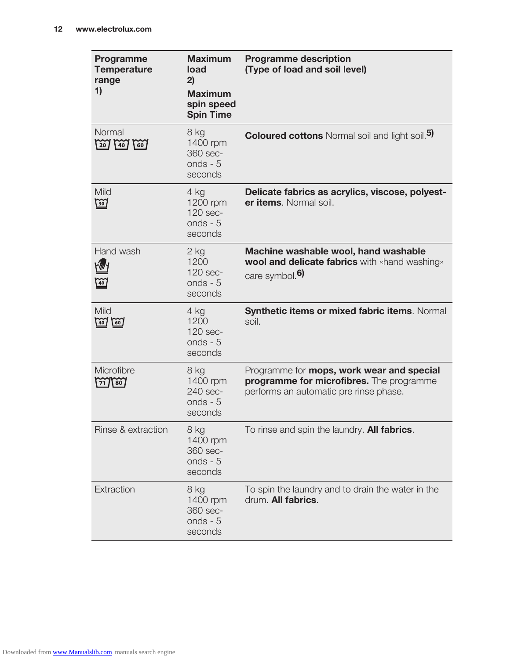| Programme<br><b>Temperature</b><br>range<br>1)                                          | <b>Maximum</b><br>load<br>2)<br><b>Maximum</b><br>spin speed<br><b>Spin Time</b> | <b>Programme description</b><br>(Type of load and soil level)                                                                   |
|-----------------------------------------------------------------------------------------|----------------------------------------------------------------------------------|---------------------------------------------------------------------------------------------------------------------------------|
| Normal<br>$207$ $140$<br>$\lceil \overline{60} \rceil$                                  | 8 kg<br>1400 rpm<br>360 sec-<br>onds - $5$<br>seconds                            | <b>Coloured cottons</b> Normal soil and light soil. <sup>5)</sup>                                                               |
| Mild<br><u>छि</u>                                                                       | 4 kg<br>1200 rpm<br>120 sec-<br>onds - $5$<br>seconds                            | Delicate fabrics as acrylics, viscose, polyest-<br>er items. Normal soil.                                                       |
| Hand wash<br>$\frac{20}{40}$                                                            | $2$ kg<br>1200<br>120 sec-<br>onds - $5$<br>seconds                              | Machine washable wool, hand washable<br>wool and delicate fabrics with «hand washing»<br>care symbol. <sup>6)</sup>             |
| Mild<br>$\left[\begin{matrix}60\\ \end{matrix}\right]$<br>$\left( \frac{1}{20} \right)$ | 4 kg<br>1200<br>120 sec-<br>onds - $5$<br>seconds                                | Synthetic items or mixed fabric items. Normal<br>soil.                                                                          |
| Microfibre<br>$\left( 80 \right)$                                                       | 8 kg<br>1400 rpm<br>240 sec-<br>onds - $5$<br>seconds                            | Programme for mops, work wear and special<br>programme for microfibres. The programme<br>performs an automatic pre rinse phase. |
| Rinse & extraction                                                                      | 8 kg<br>1400 rpm<br>360 sec-<br>onds - $5$<br>seconds                            | To rinse and spin the laundry. <b>All fabrics</b> .                                                                             |
| Extraction                                                                              | 8 kg<br>1400 rpm<br>360 sec-<br>onds - $5$<br>seconds                            | To spin the laundry and to drain the water in the<br>drum. All fabrics.                                                         |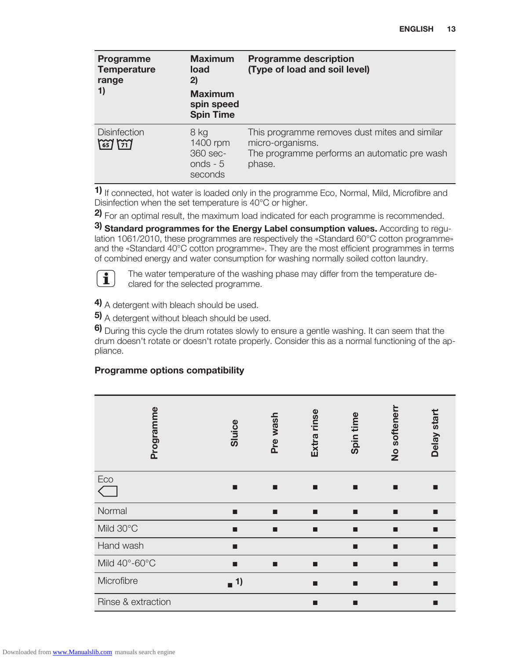| Programme<br><b>Temperature</b><br>range<br>1) | <b>Maximum</b><br>load<br>2)<br><b>Maximum</b><br>spin speed<br><b>Spin Time</b> | <b>Programme description</b><br>(Type of load and soil level)                                                               |
|------------------------------------------------|----------------------------------------------------------------------------------|-----------------------------------------------------------------------------------------------------------------------------|
| <b>Disinfection</b><br>$\frac{837}{217}$       | 8 kg<br>1400 rpm<br>360 sec-<br>onds - $5$<br>seconds                            | This programme removes dust mites and similar<br>micro-organisms.<br>The programme performs an automatic pre wash<br>phase. |

1) If connected, hot water is loaded only in the programme Eco, Normal, Mild, Microfibre and Disinfection when the set temperature is 40°C or higher.

2) For an optimal result, the maximum load indicated for each programme is recommended.

3) Standard programmes for the Energy Label consumption values. According to regulation 1061/2010, these programmes are respectively the «Standard 60°C cotton programme» and the «Standard 40°C cotton programme». They are the most efficient programmes in terms of combined energy and water consumption for washing normally soiled cotton laundry.



The water temperature of the washing phase may differ from the temperature declared for the selected programme.

4) A detergent with bleach should be used.

5) A detergent without bleach should be used.

6) During this cycle the drum rotates slowly to ensure a gentle washing. It can seem that the drum doesn't rotate or doesn't rotate properly. Consider this as a normal functioning of the appliance.

#### Programme options compatibility

| Programme          | Sluice     | Pre wash | Extra rinse | Spin time | No softener | Delay start |
|--------------------|------------|----------|-------------|-----------|-------------|-------------|
| Eco                | п          |          | п           | П         |             | п           |
| Normal             | п          | П        | п           | п         |             | п           |
| Mild 30°C          | п          | П        | п           | п         |             | п           |
| Hand wash          | п          |          |             | П         | ۳           | п           |
| Mild 40°-60°C      | ■          |          | ■           |           |             | п           |
| Microfibre         | $\sqrt{1}$ |          | П           | п         | ■           | п           |
| Rinse & extraction |            |          | П           | ■         |             | ■           |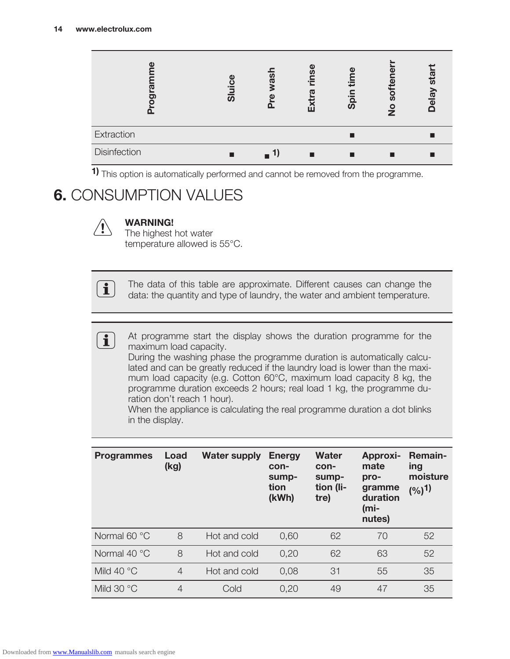| (l)<br>O)<br>Ο | ω<br><u>io</u><br><u>ග</u> | <u>ທ</u><br>ത | <u>ဖွဲ</u><br>ú | Б<br><u>spii</u> | ö<br>ທ<br>$\frac{1}{2}$ | sta<br>Delay |
|----------------|----------------------------|---------------|-----------------|------------------|-------------------------|--------------|
| Extraction     |                            |               |                 |                  |                         |              |
| Disinfection   |                            |               | ٠               |                  |                         |              |

1) This option is automatically performed and cannot be removed from the programme.

## 6. CONSUMPTION VALUES

 $\boxed{\mathbf{i}}$ 

#### WARNING!

The highest hot water temperature allowed is 55°C.

The data of this table are approximate. Different causes can change the data: the quantity and type of laundry, the water and ambient temperature.

 $\mathbf{I}$ 

At programme start the display shows the duration programme for the maximum load capacity.

During the washing phase the programme duration is automatically calculated and can be greatly reduced if the laundry load is lower than the maximum load capacity (e.g. Cotton 60°C, maximum load capacity 8 kg, the programme duration exceeds 2 hours; real load 1 kg, the programme duration don't reach 1 hour).

When the appliance is calculating the real programme duration a dot blinks in the display.

| <b>Programmes</b>   | Load<br>(kg)   | <b>Water supply</b> | <b>Energy</b><br>con-<br>sump-<br>tion<br>(kWh) | <b>Water</b><br>con-<br>sump-<br>tion (li-<br>tre) | <b>Approxi-</b><br>mate<br>pro-<br>gramme<br>duration<br>$(mi-$<br>nutes) | <b>Remain-</b><br>ing<br>moisture<br>(%) <sup>1</sup> |
|---------------------|----------------|---------------------|-------------------------------------------------|----------------------------------------------------|---------------------------------------------------------------------------|-------------------------------------------------------|
| Normal 60 °C        | 8              | Hot and cold        | 0,60                                            | 62                                                 | 70                                                                        | 52                                                    |
| Normal 40 °C        | 8              | Hot and cold        | 0,20                                            | 62                                                 | 63                                                                        | 52                                                    |
| Mild 40 $\degree$ C | $\overline{4}$ | Hot and cold        | 0.08                                            | 31                                                 | 55                                                                        | 35                                                    |
| Mild 30 °C          | $\overline{4}$ | Cold                | 0,20                                            | 49                                                 | 47                                                                        | 35                                                    |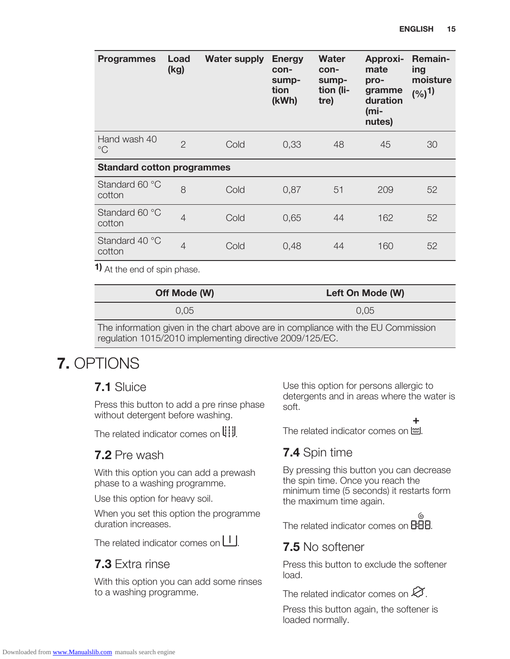| <b>Programmes</b>                 | Load<br>(kg)   | <b>Water supply</b> | <b>Energy</b><br>con-<br>sump-<br>tion<br>(kWh) | Water<br>con-<br>sump-<br>tion (li-<br>tre) | Approxi-<br>mate<br>pro-<br>gramme<br>duration<br>(mi-<br>nutes) | <b>Remain-</b><br>ing<br>moisture<br>(%) <sup>1</sup> |
|-----------------------------------|----------------|---------------------|-------------------------------------------------|---------------------------------------------|------------------------------------------------------------------|-------------------------------------------------------|
| Hand wash 40<br>$^{\circ}C$       | $\overline{2}$ | Cold                | 0,33                                            | 48                                          | 45                                                               | 30                                                    |
| <b>Standard cotton programmes</b> |                |                     |                                                 |                                             |                                                                  |                                                       |
| Standard 60 °C<br>cotton          | 8              | Cold                | 0,87                                            | 51                                          | 209                                                              | 52                                                    |
| Standard 60 °C<br>cotton          | $\overline{4}$ | Cold                | 0,65                                            | 44                                          | 162                                                              | 52                                                    |
| Standard 40 °C<br>cotton          | $\overline{4}$ | Cold                | 0,48                                            | 44                                          | 160                                                              | 52                                                    |

1) At the end of spin phase.

| Off Mode (W)                                                                          | Left On Mode (W) |
|---------------------------------------------------------------------------------------|------------------|
| $0.05^{\circ}$                                                                        | 0.05             |
| The infermation given in the chart above are in compliance with the $\Box$ Commission |                  |

The information given in the chart above are in compliance with the EU Commission regulation 1015/2010 implementing directive 2009/125/EC.

## 7. OPTIONS

#### 7.1 Sluice

Press this button to add a pre rinse phase without detergent before washing.

The related indicator comes on  $\left\| \cdot \right\|$ .

#### 7.2 Pre wash

With this option you can add a prewash phase to a washing programme.

Use this option for heavy soil.

When you set this option the programme duration increases.

The related indicator comes on  $\Box$ .

#### 7.3 Extra rinse

With this option you can add some rinses to a washing programme.

Use this option for persons allergic to detergents and in areas where the water is soft.

The related indicator comes on  $\dddot{m}$ .

#### 7.4 Spin time

By pressing this button you can decrease the spin time. Once you reach the minimum time (5 seconds) it restarts form the maximum time again.

The related indicator comes on **BBB**.

#### 7.5 No softener

Press this button to exclude the softener load.

The related indicator comes on  $\varnothing$ .

Press this button again, the softener is loaded normally.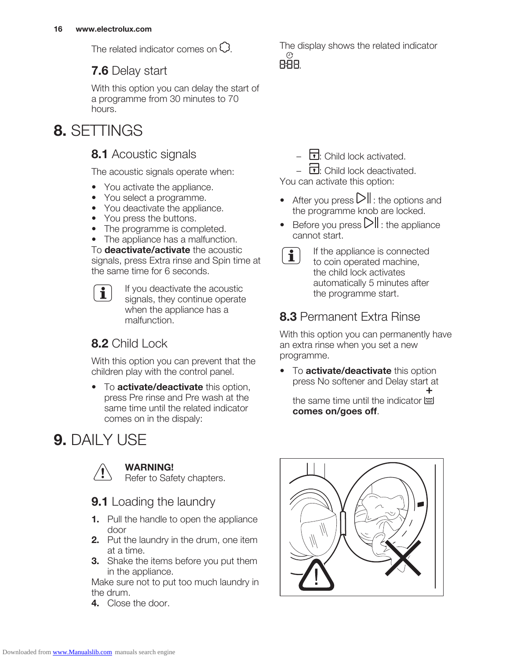The related indicator comes on  $\mathbb{C}$ .

#### 7.6 Delay start

With this option you can delay the start of a programme from 30 minutes to 70 hours.

## 8. SETTINGS

#### 8.1 Acoustic signals

The acoustic signals operate when:

- You activate the appliance.
- You select a programme.
- You deactivate the appliance.
- You press the buttons.
- The programme is completed.
- The appliance has a malfunction.

To **deactivate/activate** the acoustic signals, press Extra rinse and Spin time at the same time for 6 seconds.

If you deactivate the acoustic  $\mathbf i$ signals, they continue operate when the appliance has a malfunction.

#### 8.2 Child Lock

With this option you can prevent that the children play with the control panel.

• To activate/deactivate this option, press Pre rinse and Pre wash at the same time until the related indicator comes on in the dispaly:

## 9. DAILY USE



#### WARNING!

Refer to Safety chapters.

9.1 Loading the laundry

- 1. Pull the handle to open the appliance door
- 2. Put the laundry in the drum, one item at a time.
- **3.** Shake the items before you put them in the appliance.

Make sure not to put too much laundry in the drum.

4. Close the door.

The display shows the related indicator ⊙ 888.

 $\overline{\mathbf{1}}$ : Child lock activated.

 $\overline{1}$ : Child lock deactivated. You can activate this option:

- After you press  $\sum$  : the options and the programme knob are locked.
- Before you press  $\Box$  the appliance cannot start.
- $\mathbf{1}$

If the appliance is connected to coin operated machine, the child lock activates automatically 5 minutes after the programme start.

#### 8.3 Permanent Extra Rinse

With this option you can permanently have an extra rinse when you set a new programme.

• To activate/deactivate this option press No softener and Delay start at

the same time until the indicator  $\ddot{\equiv}$ comes on/goes off.

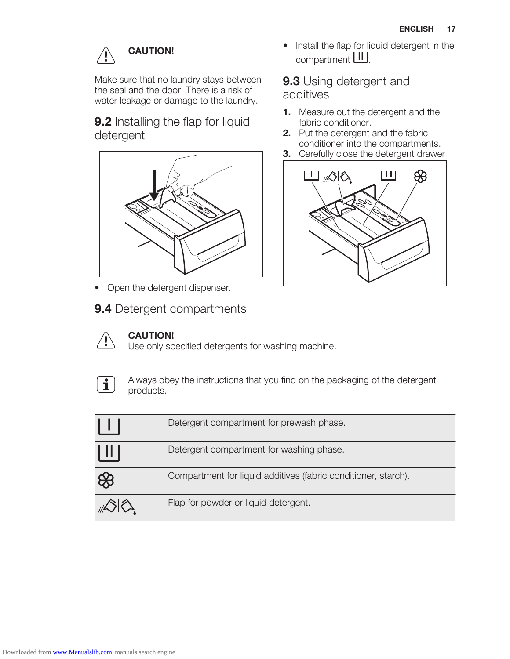## CAUTION!

Make sure that no laundry stays between the seal and the door. There is a risk of water leakage or damage to the laundry.

9.2 Installing the flap for liquid detergent



- Open the detergent dispenser.
- 9.4 Detergent compartments



#### CAUTION!

Use only specified detergents for washing machine.



Always obey the instructions that you find on the packaging of the detergent products.

|                  | Detergent compartment for prewash phase.                       |
|------------------|----------------------------------------------------------------|
| $\vert \, \vert$ | Detergent compartment for washing phase.                       |
| $\bigcirc$       | Compartment for liquid additives (fabric conditioner, starch). |
|                  | Flap for powder or liquid detergent.                           |

• Install the flap for liquid detergent in the compartment **III**.

#### 9.3 Using detergent and additives

- 1. Measure out the detergent and the fabric conditioner.
- 2. Put the detergent and the fabric conditioner into the compartments.
- **3.** Carefully close the detergent drawer

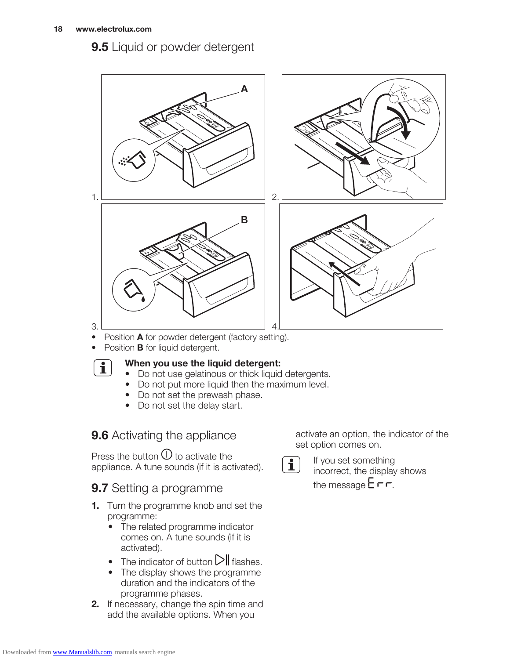9.5 Liquid or powder detergent



- Position **A** for powder detergent (factory setting).
- Position **B** for liquid detergent.



#### When you use the liquid detergent:

- Do not use gelatinous or thick liquid detergents.
- Do not put more liquid then the maximum level.
- Do not set the prewash phase.
- Do not set the delay start.

#### 9.6 Activating the appliance

Press the button  $\mathbb U$  to activate the appliance. A tune sounds (if it is activated).

#### **9.7** Setting a programme

- **1.** Turn the programme knob and set the programme:
	- The related programme indicator comes on. A tune sounds (if it is activated).
	- The indicator of button  $\triangleright$  II flashes.
	- The display shows the programme duration and the indicators of the programme phases.
- 2. If necessary, change the spin time and add the available options. When you

activate an option, the indicator of the set option comes on.



If you set something incorrect, the display shows the message  $E \cap r$ .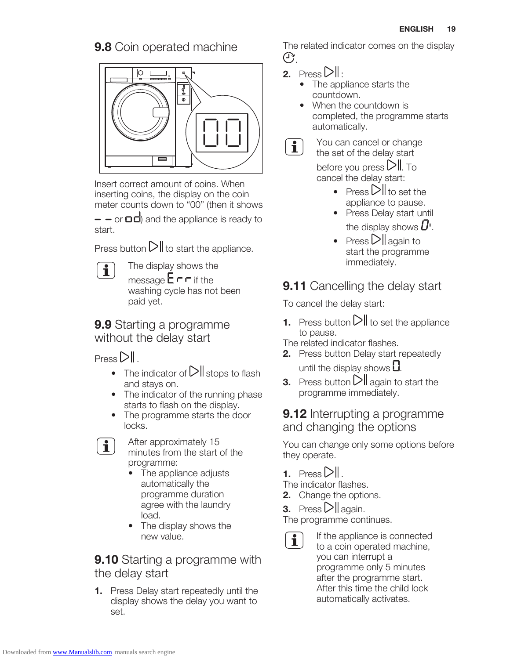#### 9.8 Coin operated machine



Insert correct amount of coins. When inserting coins, the display on the coin meter counts down to "00" (then it shows

 $\sim$  - or  $\Box$  and the appliance is ready to start.

Press button  $\sum$  to start the appliance.

 $\mathbf i$ 

The display shows the message  $\mathsf{E} \cap \mathsf{F}$  if the washing cycle has not been paid yet.

**9.9** Starting a programme without the delay start

 $Press$  $D||$ .

 $\mathbf{i}$ 

- The indicator of  $\triangleright$  stops to flash and stays on.
- The indicator of the running phase starts to flash on the display.
- The programme starts the door locks.
- After approximately 15 minutes from the start of the programme:
	- The appliance adjusts automatically the programme duration agree with the laundry load.
	- The display shows the new value.

#### **9.10** Starting a programme with the delay start

1. Press Delay start repeatedly until the display shows the delay you want to set.

The related indicator comes on the display  $\bigoplus$ .

2. Press  $\n \ \vert \cdot \vert$ :

 $\mathbf{i}$ 

- The appliance starts the countdown.
- When the countdown is completed, the programme starts automatically.
- You can cancel or change the set of the delay start

before you press  $\triangleright$  To cancel the delay start:

- Press  $\triangleright$  **I** to set the appliance to pause.
- Press Delay start until the display shows  $U'$ .
- Press  $\sum$  again to start the programme immediately.

### **9.11** Cancelling the delay start

To cancel the delay start:

**1.** Press button  $\Box$  to set the appliance to pause.

The related indicator flashes.

- 2. Press button Delay start repeatedly until the display shows  $\Box$ .
- **3.** Press button  $\Box$  again to start the programme immediately.

#### **9.12** Interrupting a programme and changing the options

You can change only some options before they operate.

**1.** Press  $\Box$ .

The indicator flashes.

2. Change the options.

**3.** Press  $\triangleright$ ll again.

The programme continues.

If the appliance is connected  $\mathbf{i}$ to a coin operated machine, you can interrupt a programme only 5 minutes after the programme start. After this time the child lock automatically activates.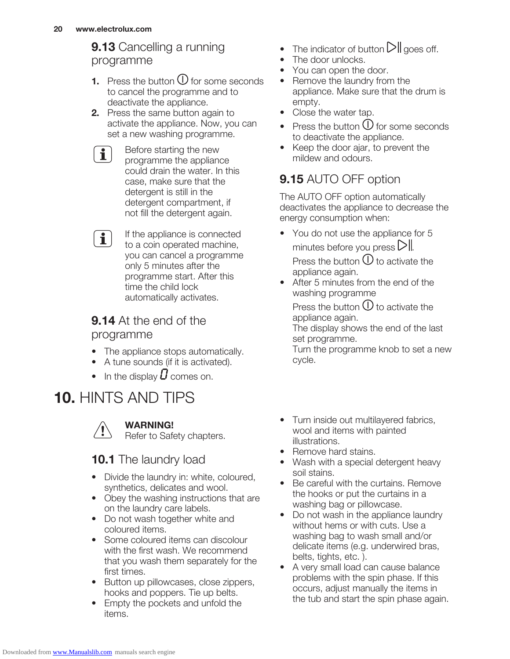#### 9.13 Cancelling a running programme

- **1.** Press the button  $\overline{O}$  for some seconds to cancel the programme and to deactivate the appliance.
- **2.** Press the same button again to activate the appliance. Now, you can set a new washing programme.
	- Before starting the new  $\mathbf{i}$ programme the appliance could drain the water. In this case, make sure that the detergent is still in the detergent compartment, if not fill the detergent again.
	- If the appliance is connected  $\mathbf{i}$ to a coin operated machine, you can cancel a programme only 5 minutes after the programme start. After this time the child lock automatically activates.

#### **9.14** At the end of the programme

- The appliance stops automatically.
- A tune sounds (if it is activated).
- In the display  $\bm{\mathit{U}}$  comes on.

## 10. HINTS AND TIPS



#### WARNING!

Refer to Safety chapters.

#### 10.1 The laundry load

- Divide the laundry in: white, coloured, synthetics, delicates and wool.
- Obey the washing instructions that are on the laundry care labels.
- Do not wash together white and coloured items.
- Some coloured items can discolour with the first wash. We recommend that you wash them separately for the first times.
- Button up pillowcases, close zippers, hooks and poppers. Tie up belts.
- Empty the pockets and unfold the items.
- The indicator of button  $\mathbb{D} \mathbb{I}$  goes off.
- The door unlocks.
- You can open the door.
- Remove the laundry from the appliance. Make sure that the drum is empty.
- Close the water tap.
- Press the button  $\mathbb O$  for some seconds to deactivate the appliance.
- Keep the door ajar, to prevent the mildew and odours.

### 9.15 AUTO OFF option

The AUTO OFF option automatically deactivates the appliance to decrease the energy consumption when:

- You do not use the appliance for 5 minutes before you press  $\triangleright$ || Press the button  $\mathbb O$  to activate the appliance again.
- After 5 minutes from the end of the washing programme

Press the button  $\bigcup$  to activate the appliance again. The display shows the end of the last set programme.

Turn the programme knob to set a new cycle.

- Turn inside out multilayered fabrics, wool and items with painted illustrations.
- Remove hard stains.
- Wash with a special detergent heavy soil stains.
- Be careful with the curtains. Remove the hooks or put the curtains in a washing bag or pillowcase.
- Do not wash in the appliance laundry without hems or with cuts. Use a washing bag to wash small and/or delicate items (e.g. underwired bras, belts, tights, etc. ).
- A very small load can cause balance problems with the spin phase. If this occurs, adjust manually the items in the tub and start the spin phase again.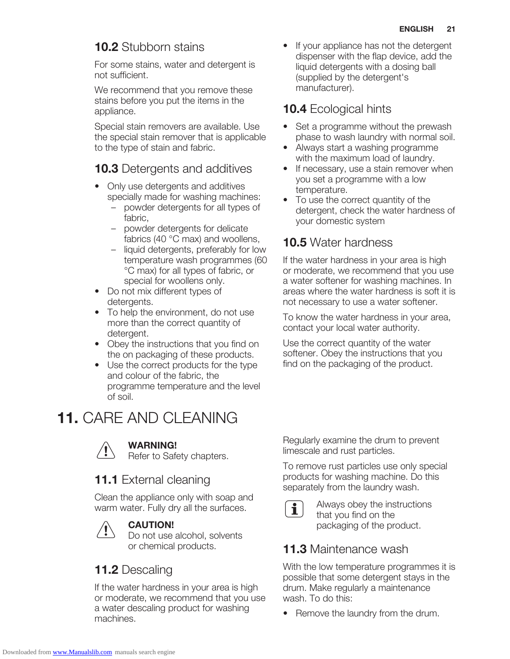#### 10.2 Stubborn stains

For some stains, water and detergent is not sufficient.

We recommend that you remove these stains before you put the items in the appliance.

Special stain removers are available. Use the special stain remover that is applicable to the type of stain and fabric.

#### **10.3** Detergents and additives

- Only use detergents and additives specially made for washing machines:
	- powder detergents for all types of fabric,
	- powder detergents for delicate fabrics (40 °C max) and woollens,
	- liquid detergents, preferably for low temperature wash programmes (60 °C max) for all types of fabric, or special for woollens only.
- Do not mix different types of detergents.
- To help the environment, do not use more than the correct quantity of detergent.
- Obey the instructions that you find on the on packaging of these products.
- Use the correct products for the type and colour of the fabric, the programme temperature and the level of soil.

## 11. CARE AND CLEANING



#### WARNING!

Refer to Safety chapters.

#### 11.1 External cleaning

Clean the appliance only with soap and warm water. Fully dry all the surfaces.



#### CAUTION!

Do not use alcohol, solvents or chemical products.

### 11.2 Descaling

If the water hardness in your area is high or moderate, we recommend that you use a water descaling product for washing machines.

If your appliance has not the detergent dispenser with the flap device, add the liquid detergents with a dosing ball (supplied by the detergent's manufacturer).

#### **10.4** Ecological hints

- Set a programme without the prewash phase to wash laundry with normal soil.
- Always start a washing programme with the maximum load of laundry.
- If necessary, use a stain remover when you set a programme with a low temperature.
- To use the correct quantity of the detergent, check the water hardness of your domestic system

#### **10.5** Water hardness

If the water hardness in your area is high or moderate, we recommend that you use a water softener for washing machines. In areas where the water hardness is soft it is not necessary to use a water softener.

To know the water hardness in your area, contact your local water authority.

Use the correct quantity of the water softener. Obey the instructions that you find on the packaging of the product.

Regularly examine the drum to prevent limescale and rust particles.

To remove rust particles use only special products for washing machine. Do this separately from the laundry wash.



Always obey the instructions that you find on the packaging of the product.

#### **11.3 Maintenance wash**

With the low temperature programmes it is possible that some detergent stays in the drum. Make regularly a maintenance wash. To do this:

• Remove the laundry from the drum.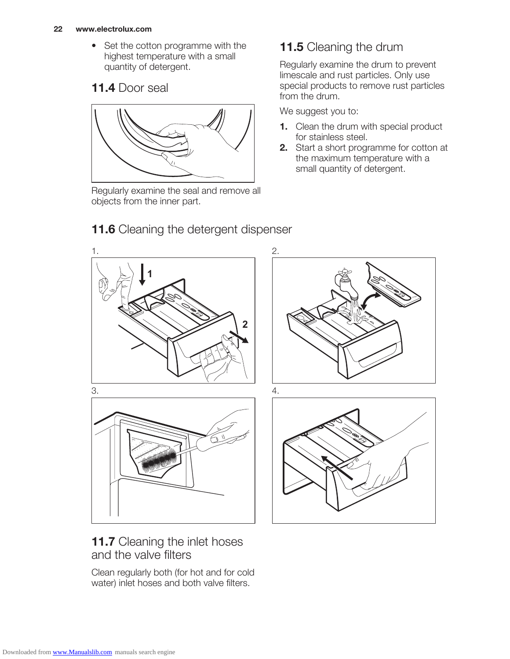• Set the cotton programme with the highest temperature with a small quantity of detergent.

#### 11.4 Door seal



Regularly examine the seal and remove all objects from the inner part.

11.6 Cleaning the detergent dispenser

### 11.5 Cleaning the drum

Regularly examine the drum to prevent limescale and rust particles. Only use special products to remove rust particles from the drum.

We suggest you to:

- 1. Clean the drum with special product for stainless steel.
- 2. Start a short programme for cotton at the maximum temperature with a small quantity of detergent.

# 1. **1 2** 2.  $3.$   $4.$

#### 11.7 Cleaning the inlet hoses and the valve filters

Clean regularly both (for hot and for cold water) inlet hoses and both valve filters.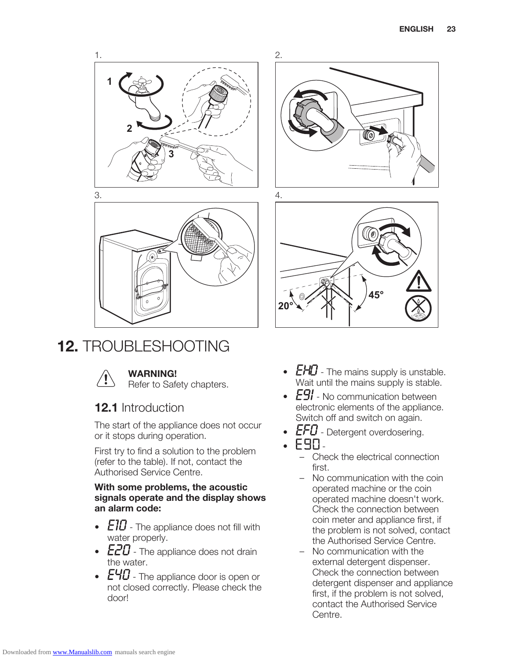



**20°**

2.

## 12. TROUBLESHOOTING



#### WARNING!

Refer to Safety chapters.

#### 12.1 Introduction

The start of the appliance does not occur or it stops during operation.

First try to find a solution to the problem (refer to the table). If not, contact the Authorised Service Centre.

#### With some problems, the acoustic signals operate and the display shows an alarm code:

- $E10$  The appliance does not fill with water properly.
- $E20$  The appliance does not drain the water.
- $E40$  The appliance door is open or not closed correctly. Please check the door!

•  $EHD$  - The mains supply is unstable. Wait until the mains supply is stable.

**45°**

- $E9!$  No communication between electronic elements of the appliance. Switch off and switch on again.
- $EFD$  Detergent overdosering.
- $F$ 90-
	- Check the electrical connection first.
	- No communication with the coin operated machine or the coin operated machine doesn't work. Check the connection between coin meter and appliance first, if the problem is not solved, contact the Authorised Service Centre.
	- No communication with the external detergent dispenser. Check the connection between detergent dispenser and appliance first, if the problem is not solved, contact the Authorised Service Centre.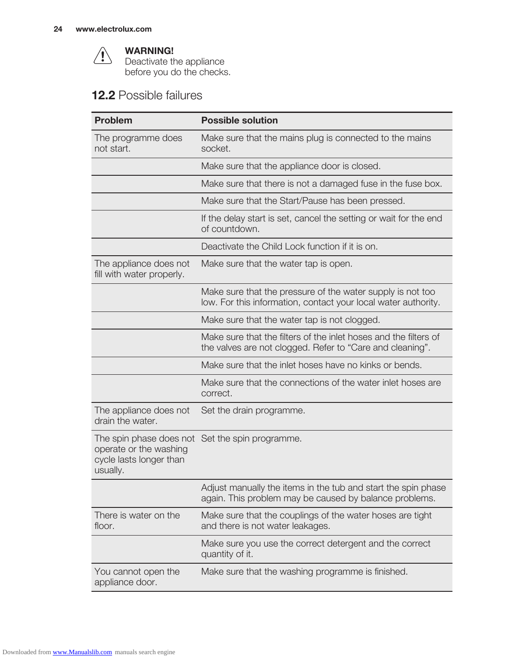

#### WARNING!

Deactivate the appliance before you do the checks.

#### 12.2 Possible failures

| <b>Problem</b>                                                | <b>Possible solution</b>                                                                                                      |  |
|---------------------------------------------------------------|-------------------------------------------------------------------------------------------------------------------------------|--|
| The programme does<br>not start.                              | Make sure that the mains plug is connected to the mains<br>socket.                                                            |  |
|                                                               | Make sure that the appliance door is closed.                                                                                  |  |
|                                                               | Make sure that there is not a damaged fuse in the fuse box.                                                                   |  |
|                                                               | Make sure that the Start/Pause has been pressed.                                                                              |  |
|                                                               | If the delay start is set, cancel the setting or wait for the end<br>of countdown.                                            |  |
|                                                               | Deactivate the Child Lock function if it is on.                                                                               |  |
| The appliance does not<br>fill with water properly.           | Make sure that the water tap is open.                                                                                         |  |
|                                                               | Make sure that the pressure of the water supply is not too<br>low. For this information, contact your local water authority.  |  |
|                                                               | Make sure that the water tap is not clogged.                                                                                  |  |
|                                                               | Make sure that the filters of the inlet hoses and the filters of<br>the valves are not clogged. Refer to "Care and cleaning". |  |
|                                                               | Make sure that the inlet hoses have no kinks or bends.                                                                        |  |
|                                                               | Make sure that the connections of the water inlet hoses are<br>correct.                                                       |  |
| The appliance does not<br>drain the water.                    | Set the drain programme.                                                                                                      |  |
| operate or the washing<br>cycle lasts longer than<br>usually. | The spin phase does not Set the spin programme.                                                                               |  |
|                                                               | Adjust manually the items in the tub and start the spin phase<br>again. This problem may be caused by balance problems.       |  |
| There is water on the<br>floor.                               | Make sure that the couplings of the water hoses are tight<br>and there is not water leakages.                                 |  |
|                                                               | Make sure you use the correct detergent and the correct<br>quantity of it.                                                    |  |
| You cannot open the<br>appliance door.                        | Make sure that the washing programme is finished.                                                                             |  |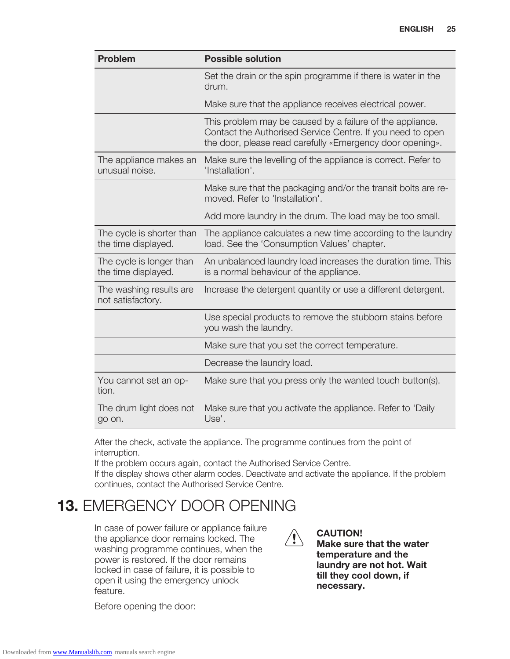| <b>Problem</b>                                   | <b>Possible solution</b>                                                                                                                                                             |  |  |
|--------------------------------------------------|--------------------------------------------------------------------------------------------------------------------------------------------------------------------------------------|--|--|
|                                                  | Set the drain or the spin programme if there is water in the<br>drum.                                                                                                                |  |  |
|                                                  | Make sure that the appliance receives electrical power.                                                                                                                              |  |  |
|                                                  | This problem may be caused by a failure of the appliance.<br>Contact the Authorised Service Centre. If you need to open<br>the door, please read carefully «Emergency door opening». |  |  |
| The appliance makes an<br>unusual noise.         | Make sure the levelling of the appliance is correct. Refer to<br>'Installation'.                                                                                                     |  |  |
|                                                  | Make sure that the packaging and/or the transit bolts are re-<br>moved. Refer to 'Installation'.                                                                                     |  |  |
|                                                  | Add more laundry in the drum. The load may be too small.                                                                                                                             |  |  |
| The cycle is shorter than<br>the time displayed. | The appliance calculates a new time according to the laundry<br>load. See the 'Consumption Values' chapter.                                                                          |  |  |
| The cycle is longer than<br>the time displayed.  | An unbalanced laundry load increases the duration time. This<br>is a normal behaviour of the appliance.                                                                              |  |  |
| The washing results are<br>not satisfactory.     | Increase the detergent quantity or use a different detergent.                                                                                                                        |  |  |
|                                                  | Use special products to remove the stubborn stains before<br>you wash the laundry.                                                                                                   |  |  |
|                                                  | Make sure that you set the correct temperature.                                                                                                                                      |  |  |
|                                                  | Decrease the laundry load.                                                                                                                                                           |  |  |
| You cannot set an op-<br>tion.                   | Make sure that you press only the wanted touch button(s).                                                                                                                            |  |  |
| The drum light does not<br>go on.                | Make sure that you activate the appliance. Refer to 'Daily<br>Use'.                                                                                                                  |  |  |

After the check, activate the appliance. The programme continues from the point of interruption.

If the problem occurs again, contact the Authorised Service Centre.

If the display shows other alarm codes. Deactivate and activate the appliance. If the problem continues, contact the Authorised Service Centre.

## 13. EMERGENCY DOOR OPENING

In case of power failure or appliance failure the appliance door remains locked. The washing programme continues, when the power is restored. If the door remains locked in case of failure, it is possible to open it using the emergency unlock feature.

 $\langle \bm{l} \rangle$ 

CAUTION!

Make sure that the water temperature and the laundry are not hot. Wait till they cool down, if necessary.

Before opening the door: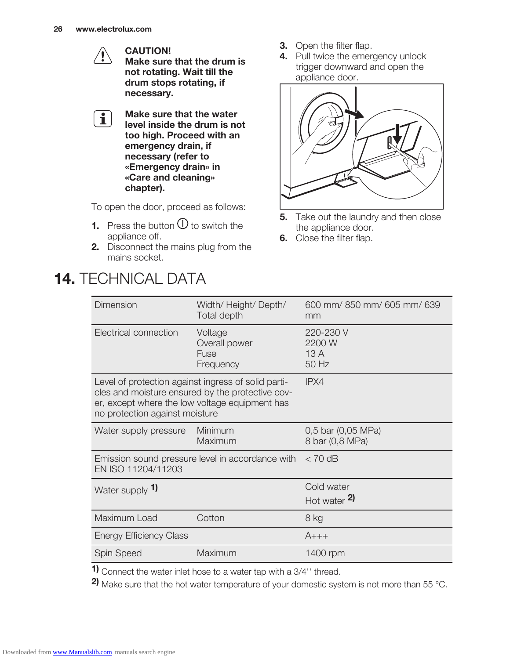CAUTION! Make sure that the drum is not rotating. Wait till the drum stops rotating, if necessary.

Make sure that the water  $\mathbf{i}$ level inside the drum is not too high. Proceed with an emergency drain, if necessary (refer to «Emergency drain» in «Care and cleaning» chapter).

To open the door, proceed as follows:

- **1.** Press the button  $\overline{O}$  to switch the appliance off.
- 2. Disconnect the mains plug from the mains socket.

## 14. TECHNICAL DATA

**3.** Open the filter flap.

4. Pull twice the emergency unlock trigger downward and open the appliance door.



- **5.** Take out the laundry and then close the appliance door.
- **6.** Close the filter flap.

| Dimension                                                                                                                                                                                   | Width/ Height/ Depth/<br>Total depth          | 600 mm/850 mm/605 mm/639<br>mm        |
|---------------------------------------------------------------------------------------------------------------------------------------------------------------------------------------------|-----------------------------------------------|---------------------------------------|
| Electrical connection                                                                                                                                                                       | Voltage<br>Overall power<br>Fuse<br>Frequency | 220-230 V<br>2200 W<br>13A<br>50 Hz   |
| Level of protection against ingress of solid parti-<br>cles and moisture ensured by the protective cov-<br>er, except where the low voltage equipment has<br>no protection against moisture |                                               | IPX4                                  |
| Water supply pressure                                                                                                                                                                       | Minimum<br>Maximum                            | 0,5 bar (0,05 MPa)<br>8 bar (0,8 MPa) |
| Emission sound pressure level in accordance with $\sigma$ 70 dB<br>EN ISO 11204/11203                                                                                                       |                                               |                                       |
| Water supply 1)                                                                                                                                                                             |                                               | Cold water<br>Hot water $2$           |
| Maximum Load                                                                                                                                                                                | Cotton                                        | 8 kg                                  |
| <b>Energy Efficiency Class</b>                                                                                                                                                              |                                               | $A_{+++}$                             |
| <b>Spin Speed</b>                                                                                                                                                                           | Maximum                                       | 1400 rpm                              |

1) Connect the water inlet hose to a water tap with a 3/4'' thread.

2) Make sure that the hot water temperature of your domestic system is not more than 55 °C.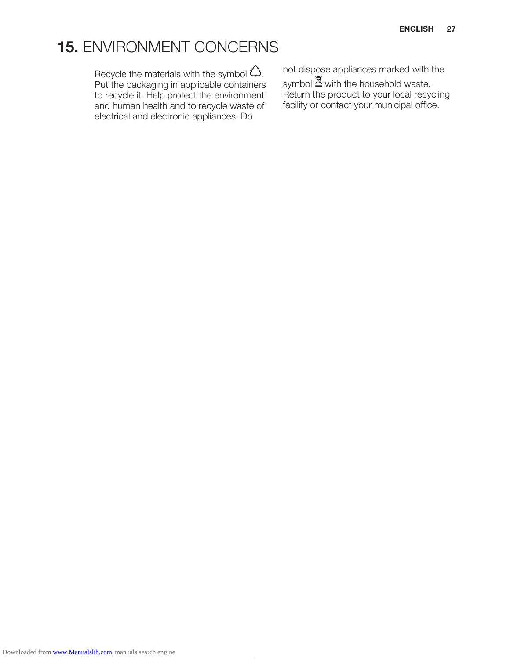## 15. ENVIRONMENT CONCERNS

Recycle the materials with the symbol  $\zeta$ . Put the packaging in applicable containers to recycle it. Help protect the environment and human health and to recycle waste of electrical and electronic appliances. Do

not dispose appliances marked with the symbol  $\mathbb{\underline{X}}$  with the household waste. Return the product to your local recycling facility or contact your municipal office.